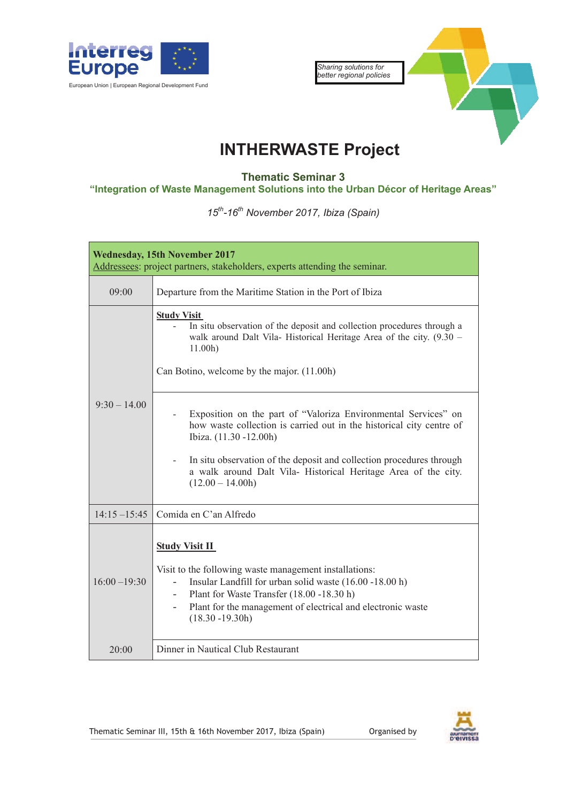



## **INTHERWASTE Project**

**Thematic Seminar 3**

**"Integration of Waste Management Solutions into the Urban Décor of Heritage Areas"**

*15th-16th November 2017, Ibiza (Spain)*

| <b>Wednesday, 15th November 2017</b><br>Addressees: project partners, stakeholders, experts attending the seminar. |                                                                                                                                                                                                                                                                                                                                                                                                                                                                                                                                                                  |  |  |  |  |
|--------------------------------------------------------------------------------------------------------------------|------------------------------------------------------------------------------------------------------------------------------------------------------------------------------------------------------------------------------------------------------------------------------------------------------------------------------------------------------------------------------------------------------------------------------------------------------------------------------------------------------------------------------------------------------------------|--|--|--|--|
| 09:00                                                                                                              | Departure from the Maritime Station in the Port of Ibiza                                                                                                                                                                                                                                                                                                                                                                                                                                                                                                         |  |  |  |  |
| $9:30 - 14.00$                                                                                                     | <b>Study Visit</b><br>In situ observation of the deposit and collection procedures through a<br>walk around Dalt Vila-Historical Heritage Area of the city. (9.30 -<br>11.00h)<br>Can Botino, welcome by the major. (11.00h)<br>Exposition on the part of "Valoriza Environmental Services" on<br>how waste collection is carried out in the historical city centre of<br>Ibiza. (11.30 -12.00h)<br>In situ observation of the deposit and collection procedures through<br>a walk around Dalt Vila- Historical Heritage Area of the city.<br>$(12.00 - 14.00h)$ |  |  |  |  |
| $14:15 - 15:45$                                                                                                    | Comida en C'an Alfredo                                                                                                                                                                                                                                                                                                                                                                                                                                                                                                                                           |  |  |  |  |
| $16:00 - 19:30$                                                                                                    | <b>Study Visit II</b><br>Visit to the following waste management installations:<br>Insular Landfill for urban solid waste (16.00 -18.00 h)<br>$\overline{\phantom{a}}$<br>Plant for Waste Transfer (18.00 -18.30 h)<br>Plant for the management of electrical and electronic waste<br>$(18.30 - 19.30h)$                                                                                                                                                                                                                                                         |  |  |  |  |
| 20:00                                                                                                              | Dinner in Nautical Club Restaurant                                                                                                                                                                                                                                                                                                                                                                                                                                                                                                                               |  |  |  |  |

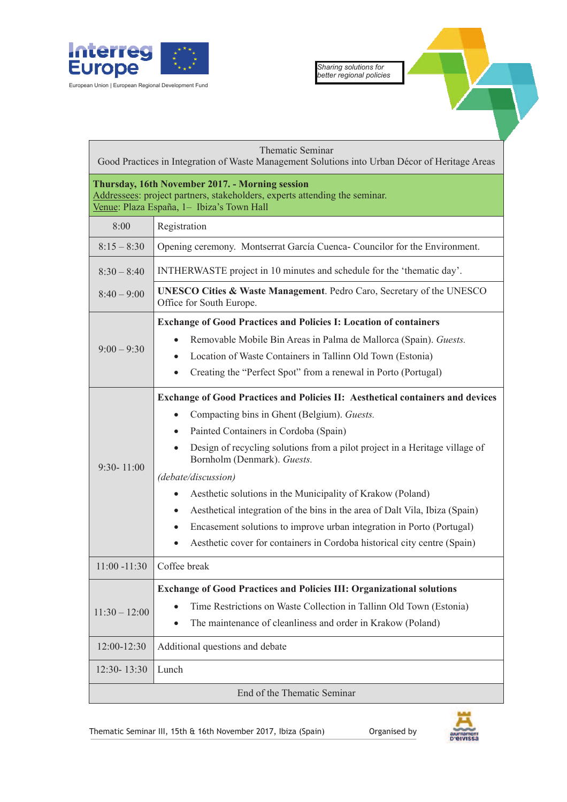

Thematic Seminar Good Practices in Integration of Waste Management Solutions into Urban Décor of Heritage Areas **Thursday, 16th November 2017. - Morning session**  Addressees: project partners, stakeholders, experts attending the seminar. Venue: Plaza España, 1– Ibiza's Town Hall 8:00 Registration 8:15 – 8:30 Opening ceremony. Montserrat García Cuenca- Councilor for the Environment. 8:30 – 8:40 INTHERWASTE project in 10 minutes and schedule for the 'thematic day'. 8:40 – 9:00 **UNESCO Cities & Waste Management**. Pedro Caro, Secretary of the UNESCO Office for South Europe.  $9:00 - 9:30$ **Exchange of Good Practices and Policies I: Location of containers** x Removable Mobile Bin Areas in Palma de Mallorca (Spain). *Guests.* • Location of Waste Containers in Tallinn Old Town (Estonia) • Creating the "Perfect Spot" from a renewal in Porto (Portugal) 9:30- 11:00 **Exchange of Good Practices and Policies II: Aesthetical containers and devices** x Compacting bins in Ghent (Belgium). *Guests.*  Painted Containers in Cordoba (Spain) • Design of recycling solutions from a pilot project in a Heritage village of Bornholm (Denmark). *Guests. (debate/discussion)* Aesthetic solutions in the Municipality of Krakow (Poland) • Aesthetical integration of the bins in the area of Dalt Vila, Ibiza (Spain) Encasement solutions to improve urban integration in Porto (Portugal) • Aesthetic cover for containers in Cordoba historical city centre (Spain) 11:00 -11:30 Coffee break  $11:30 - 12:00$ **Exchange of Good Practices and Policies III: Organizational solutions** Time Restrictions on Waste Collection in Tallinn Old Town (Estonia) • The maintenance of cleanliness and order in Krakow (Poland) 12:00-12:30 Additional questions and debate 12:30- 13:30 Lunch End of the Thematic Seminar

*Sharing solutions for better regional policies*